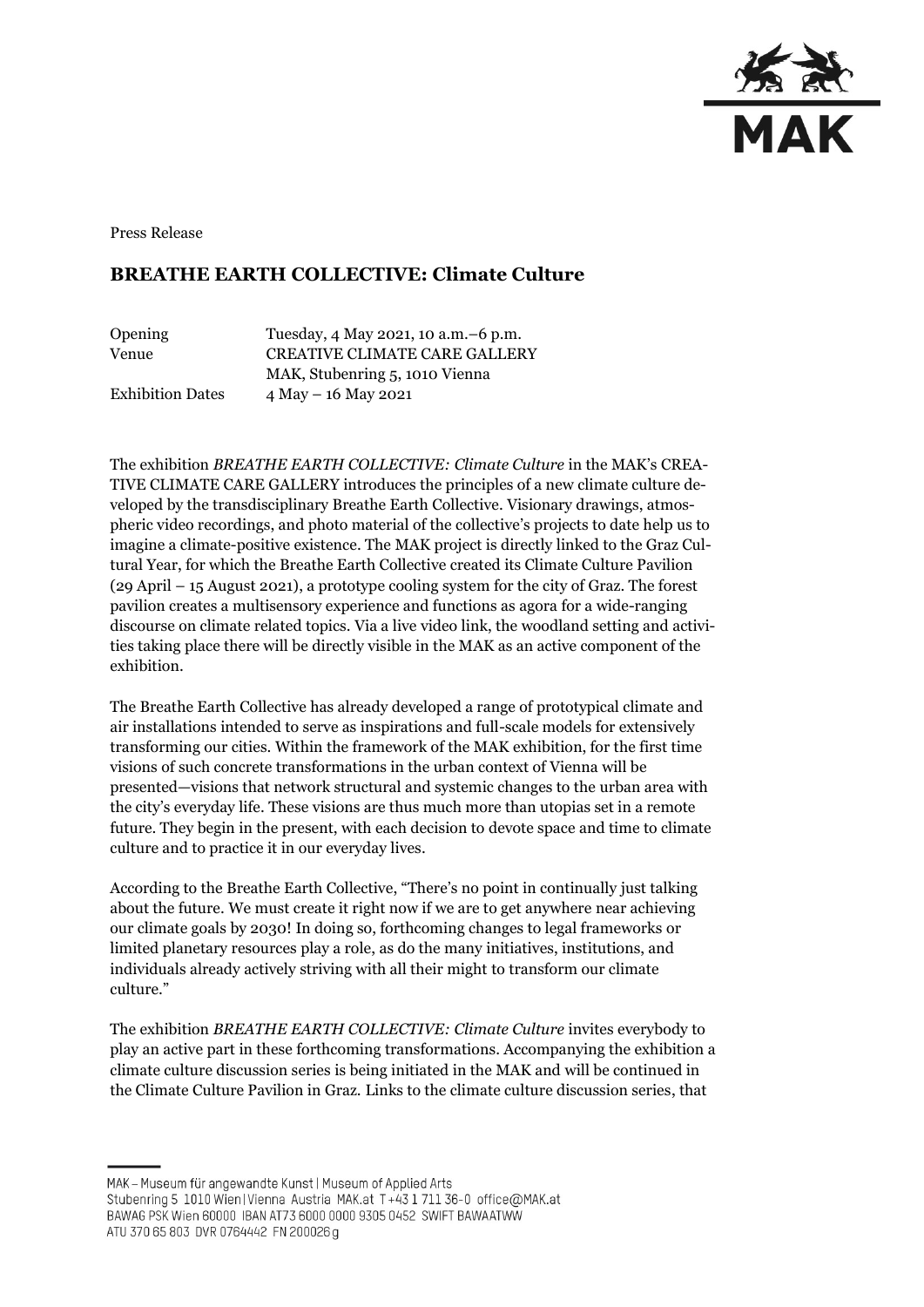

Press Release

## **BREATHE EARTH COLLECTIVE: Climate Culture**

| Opening                 | Tuesday, 4 May 2021, 10 a.m. - 6 p.m. |
|-------------------------|---------------------------------------|
| Venue                   | <b>CREATIVE CLIMATE CARE GALLERY</b>  |
|                         | MAK, Stubenring 5, 1010 Vienna        |
| <b>Exhibition Dates</b> | $4$ May $- 16$ May 2021               |

The exhibition *BREATHE EARTH COLLECTIVE: Climate Culture* in the MAK's CREA-TIVE CLIMATE CARE GALLERY introduces the principles of a new climate culture developed by the transdisciplinary Breathe Earth Collective. Visionary drawings, atmospheric video recordings, and photo material of the collective's projects to date help us to imagine a climate-positive existence. The MAK project is directly linked to the Graz Cultural Year, for which the Breathe Earth Collective created its Climate Culture Pavilion (29 April – 15 August 2021), a prototype cooling system for the city of Graz. The forest pavilion creates a multisensory experience and functions as agora for a wide-ranging discourse on climate related topics. Via a live video link, the woodland setting and activities taking place there will be directly visible in the MAK as an active component of the exhibition.

The Breathe Earth Collective has already developed a range of prototypical climate and air installations intended to serve as inspirations and full-scale models for extensively transforming our cities. Within the framework of the MAK exhibition, for the first time visions of such concrete transformations in the urban context of Vienna will be presented—visions that network structural and systemic changes to the urban area with the city's everyday life. These visions are thus much more than utopias set in a remote future. They begin in the present, with each decision to devote space and time to climate culture and to practice it in our everyday lives.

According to the Breathe Earth Collective, "There's no point in continually just talking about the future. We must create it right now if we are to get anywhere near achieving our climate goals by 2030! In doing so, forthcoming changes to legal frameworks or limited planetary resources play a role, as do the many initiatives, institutions, and individuals already actively striving with all their might to transform our climate culture."

The exhibition *BREATHE EARTH COLLECTIVE: Climate Culture* invites everybody to play an active part in these forthcoming transformations. Accompanying the exhibition a climate culture discussion series is being initiated in the MAK and will be continued in the Climate Culture Pavilion in Graz. Links to the climate culture discussion series, that

ATU 370 65 803 DVR 0764442 FN 200026 g

MAK - Museum für angewandte Kunst | Museum of Applied Arts

Stubenring 5 1010 Wien | Vienna Austria MAK.at T+43 1 711 36-0 office@MAK.at

BAWAG PSK Wien 60000 IBAN AT73 6000 0000 9305 0452 SWIFT BAWAATWW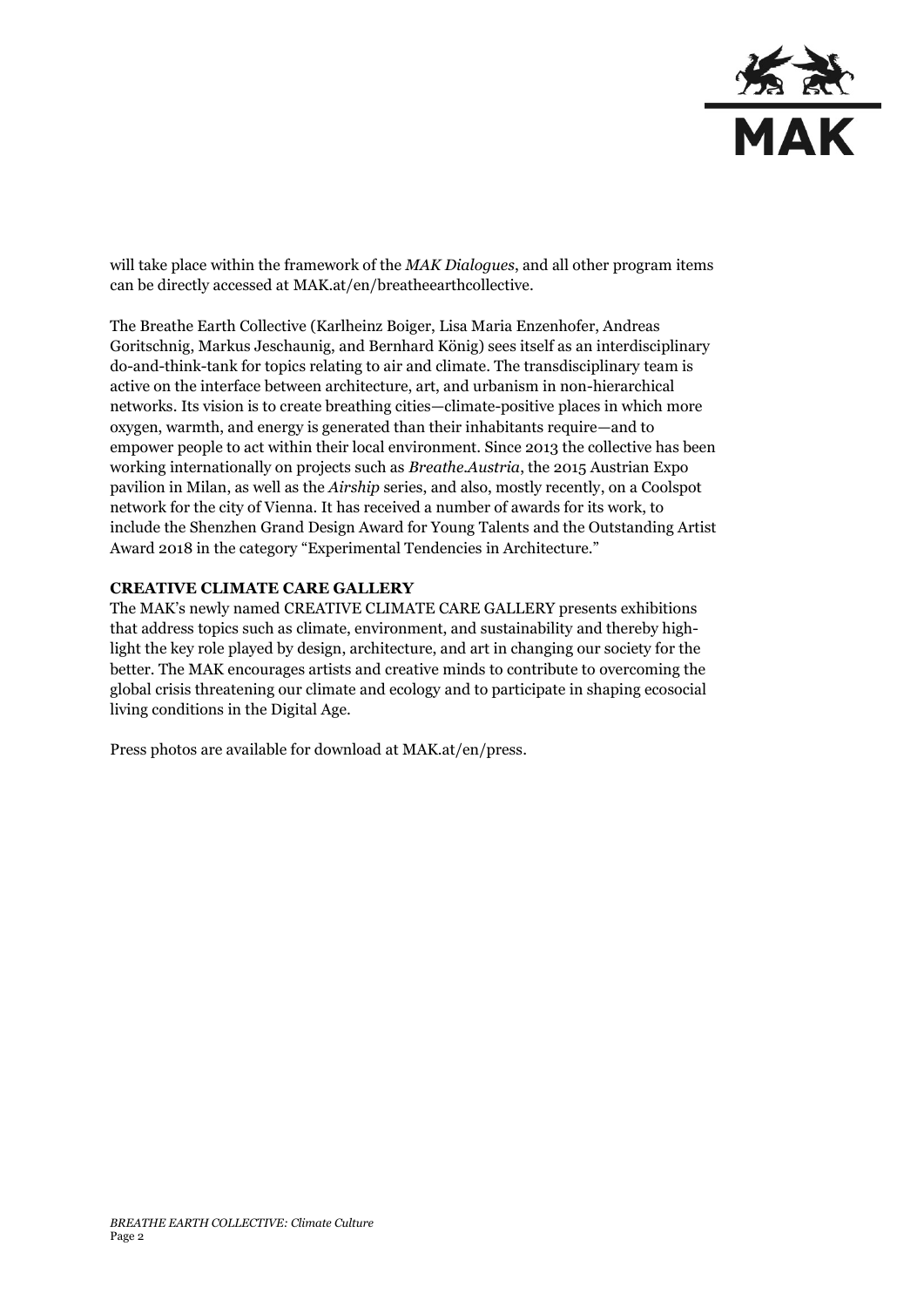

will take place within the framework of the *MAK Dialogues*, and all other program items can be directly accessed at MAK.at/en/breatheearthcollective.

The [Breathe Earth Collective](https://breatheearth.net/) (Karlheinz Boiger, Lisa Maria Enzenhofer, Andreas Goritschnig, Markus Jeschaunig, and Bernhard König) sees itself as an interdisciplinary do-and-think-tank for topics relating to air and climate. The transdisciplinary team is active on the interface between architecture, art, and urbanism in non-hierarchical networks. Its vision is to create breathing cities—climate-positive places in which more oxygen, warmth, and energy is generated than their inhabitants require—and to empower people to act within their local environment. Since 2013 the collective has been working internationally on projects such as *Breathe.Austria*, the 2015 Austrian Expo pavilion in Milan, as well as the *Airship* series, and also, mostly recently, on a Coolspot network for the city of Vienna. It has received a number of awards for its work, to include the Shenzhen Grand Design Award for Young Talents and the Outstanding Artist Award 2018 in the category "Experimental Tendencies in Architecture."

## **CREATIVE CLIMATE CARE GALLERY**

The MAK's newly named CREATIVE CLIMATE CARE GALLERY presents exhibitions that address topics such as climate, environment, and sustainability and thereby highlight the key role played by design, architecture, and art in changing our society for the better. The MAK encourages artists and creative minds to contribute to overcoming the global crisis threatening our climate and ecology and to participate in shaping ecosocial living conditions in the Digital Age.

Press photos are available for download at MAK.at/en/press.